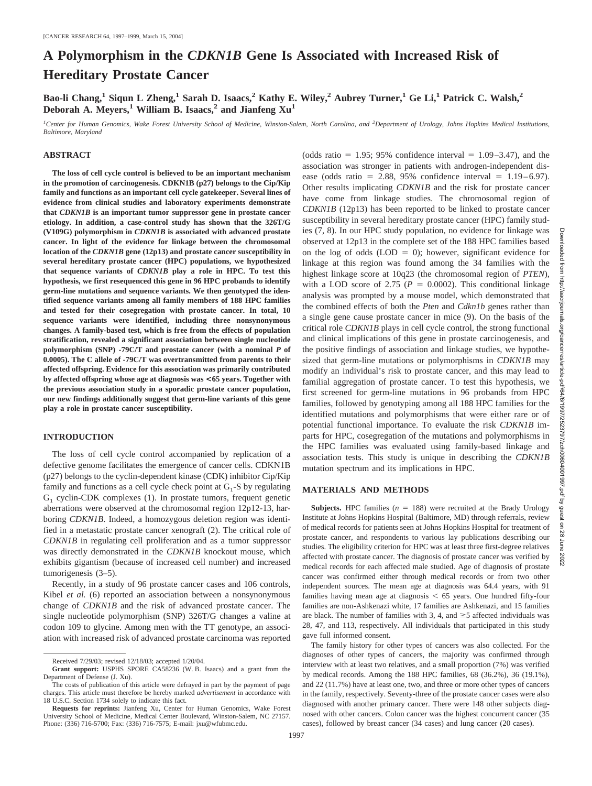# **A Polymorphism in the** *CDKN1B* **Gene Is Associated with Increased Risk of Hereditary Prostate Cancer**

**Bao-li Chang,1 Siqun L Zheng,1 Sarah D. Isaacs,2 Kathy E. Wiley,2 Aubrey Turner,1 Ge Li,1 Patrick C. Walsh,2 Deborah A. Meyers,<sup>1</sup> William B. Isaacs,<sup>2</sup> and Jianfeng Xu<sup>1</sup>** 

*1 Center for Human Genomics, Wake Forest University School of Medicine, Winston-Salem, North Carolina, and <sup>2</sup> Department of Urology, Johns Hopkins Medical Institutions, Baltimore, Maryland*

## **ABSTRACT**

**The loss of cell cycle control is believed to be an important mechanism in the promotion of carcinogenesis. CDKN1B (p27) belongs to the Cip/Kip family and functions as an important cell cycle gatekeeper. Several lines of evidence from clinical studies and laboratory experiments demonstrate that** *CDKN1B* **is an important tumor suppressor gene in prostate cancer etiology. In addition, a case-control study has shown that the 326T/G (V109G) polymorphism in** *CDKN1B* **is associated with advanced prostate cancer. In light of the evidence for linkage between the chromosomal location of the** *CDKN1B* **gene (12p13) and prostate cancer susceptibility in several hereditary prostate cancer (HPC) populations, we hypothesized that sequence variants of** *CDKN1B* **play a role in HPC. To test this hypothesis, we first resequenced this gene in 96 HPC probands to identify germ-line mutations and sequence variants. We then genotyped the identified sequence variants among all family members of 188 HPC families and tested for their cosegregation with prostate cancer. In total, 10 sequence variants were identified, including three nonsynonymous changes. A family-based test, which is free from the effects of population stratification, revealed a significant association between single nucleotide polymorphism (SNP) -79C/T and prostate cancer (with a nominal** *P* **of 0.0005). The C allele of -79C/T was overtransmitted from parents to their affected offspring. Evidence for this association was primarily contributed by affected offspring whose age at diagnosis was <65 years. Together with the previous association study in a sporadic prostate cancer population, our new findings additionally suggest that germ-line variants of this gene play a role in prostate cancer susceptibility.**

# **INTRODUCTION**

The loss of cell cycle control accompanied by replication of a defective genome facilitates the emergence of cancer cells. CDKN1B (p27) belongs to the cyclin-dependent kinase (CDK) inhibitor Cip/Kip family and functions as a cell cycle check point at  $G_1$ -S by regulating  $G_1$  cyclin-CDK complexes (1). In prostate tumors, frequent genetic aberrations were observed at the chromosomal region 12p12-13, harboring *CDKN1B*. Indeed, a homozygous deletion region was identified in a metastatic prostate cancer xenograft (2). The critical role of *CDKN1B* in regulating cell proliferation and as a tumor suppressor was directly demonstrated in the *CDKN1B* knockout mouse, which exhibits gigantism (because of increased cell number) and increased tumorigenesis (3–5).

Recently, in a study of 96 prostate cancer cases and 106 controls, Kibel *et al.* (6) reported an association between a nonsynonymous change of *CDKN1B* and the risk of advanced prostate cancer. The single nucleotide polymorphism (SNP) 326T/G changes a valine at codon 109 to glycine. Among men with the TT genotype, an association with increased risk of advanced prostate carcinoma was reported (odds ratio  $= 1.95$ ; 95% confidence interval  $= 1.09 - 3.47$ ), and the association was stronger in patients with androgen-independent disease (odds ratio = 2.88, 95% confidence interval =  $1.19-6.97$ ). Other results implicating *CDKN1B* and the risk for prostate cancer have come from linkage studies. The chromosomal region of *CDKN1B* (12p13) has been reported to be linked to prostate cancer susceptibility in several hereditary prostate cancer (HPC) family studies (7, 8). In our HPC study population, no evidence for linkage was observed at 12p13 in the complete set of the 188 HPC families based on the log of odds (LOD  $= 0$ ); however, significant evidence for linkage at this region was found among the 34 families with the highest linkage score at 10q23 (the chromosomal region of *PTEN*), with a LOD score of 2.75 ( $P = 0.0002$ ). This conditional linkage analysis was prompted by a mouse model, which demonstrated that the combined effects of both the *Pten* and *Cdkn1b* genes rather than a single gene cause prostate cancer in mice (9). On the basis of the critical role *CDKN1B* plays in cell cycle control, the strong functional and clinical implications of this gene in prostate carcinogenesis, and the positive findings of association and linkage studies, we hypothesized that germ-line mutations or polymorphisms in *CDKN1B* may modify an individual's risk to prostate cancer, and this may lead to familial aggregation of prostate cancer. To test this hypothesis, we first screened for germ-line mutations in 96 probands from HPC families, followed by genotyping among all 188 HPC families for the identified mutations and polymorphisms that were either rare or of potential functional importance. To evaluate the risk *CDKN1B* imparts for HPC, cosegregation of the mutations and polymorphisms in the HPC families was evaluated using family-based linkage and association tests. This study is unique in describing the *CDKN1B* mutation spectrum and its implications in HPC.

#### **MATERIALS AND METHODS**

**Subjects.** HPC families  $(n = 188)$  were recruited at the Brady Urology Institute at Johns Hopkins Hospital (Baltimore, MD) through referrals, review of medical records for patients seen at Johns Hopkins Hospital for treatment of prostate cancer, and respondents to various lay publications describing our studies. The eligibility criterion for HPC was at least three first-degree relatives affected with prostate cancer. The diagnosis of prostate cancer was verified by medical records for each affected male studied. Age of diagnosis of prostate cancer was confirmed either through medical records or from two other independent sources. The mean age at diagnosis was 64.4 years, with 91 families having mean age at diagnosis  $\leq 65$  years. One hundred fifty-four families are non-Ashkenazi white, 17 families are Ashkenazi, and 15 families are black. The number of families with 3, 4, and  $\geq$  5 affected individuals was 28, 47, and 113, respectively. All individuals that participated in this study gave full informed consent.

The family history for other types of cancers was also collected. For the diagnoses of other types of cancers, the majority was confirmed through interview with at least two relatives, and a small proportion (7%) was verified by medical records. Among the 188 HPC families, 68 (36.2%), 36 (19.1%), and 22 (11.7%) have at least one, two, and three or more other types of cancers in the family, respectively. Seventy-three of the prostate cancer cases were also diagnosed with another primary cancer. There were 148 other subjects diagnosed with other cancers. Colon cancer was the highest concurrent cancer (35 cases), followed by breast cancer (34 cases) and lung cancer (20 cases).

Received 7/29/03; revised 12/18/03; accepted 1/20/04.

**Grant support:** USPHS SPORE CA58236 (W. B. Isaacs) and a grant from the Department of Defense (J. Xu).

The costs of publication of this article were defrayed in part by the payment of page charges. This article must therefore be hereby marked *advertisement* in accordance with 18 U.S.C. Section 1734 solely to indicate this fact.

**Requests for reprints:** Jianfeng Xu, Center for Human Genomics, Wake Forest University School of Medicine, Medical Center Boulevard, Winston-Salem, NC 27157. Phone: (336) 716-5700; Fax: (336) 716-7575; E-mail: jxu@wfubmc.edu.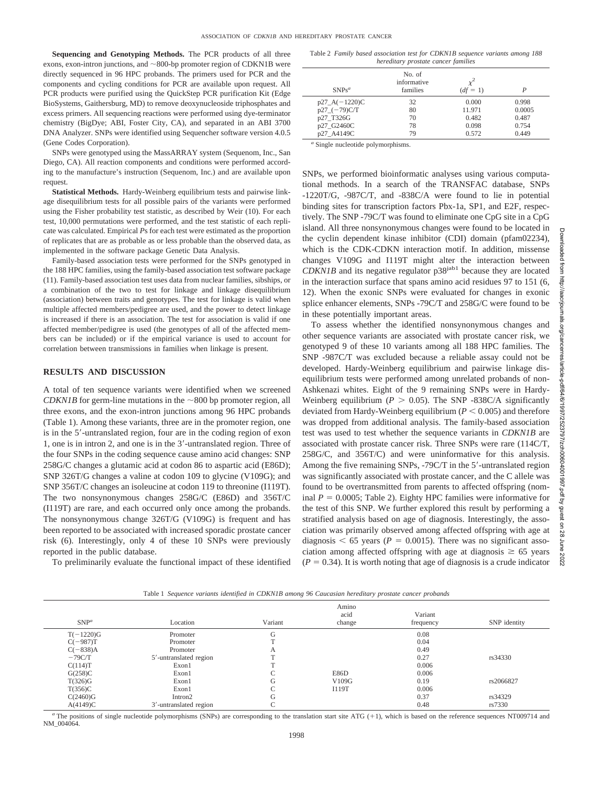**Sequencing and Genotyping Methods.** The PCR products of all three exons, exon-intron junctions, and  $\sim$ 800-bp promoter region of CDKN1B were directly sequenced in 96 HPC probands. The primers used for PCR and the components and cycling conditions for PCR are available upon request. All PCR products were purified using the QuickStep PCR purification Kit (Edge BioSystems, Gaithersburg, MD) to remove deoxynucleoside triphosphates and excess primers. All sequencing reactions were performed using dye-terminator chemistry (BigDye; ABI, Foster City, CA), and separated in an ABI 3700 DNA Analyzer. SNPs were identified using Sequencher software version 4.0.5 (Gene Codes Corporation).

SNPs were genotyped using the MassARRAY system (Sequenom, Inc., San Diego, CA). All reaction components and conditions were performed according to the manufacture's instruction (Sequenom, Inc.) and are available upon request.

**Statistical Methods.** Hardy-Weinberg equilibrium tests and pairwise linkage disequilibrium tests for all possible pairs of the variants were performed using the Fisher probability test statistic, as described by Weir (10). For each test, 10,000 permutations were performed, and the test statistic of each replicate was calculated. Empirical *P*s for each test were estimated as the proportion of replicates that are as probable as or less probable than the observed data, as implemented in the software package Genetic Data Analysis.

Family-based association tests were performed for the SNPs genotyped in the 188 HPC families, using the family-based association test software package (11). Family-based association test uses data from nuclear families, sibships, or a combination of the two to test for linkage and linkage disequilibrium (association) between traits and genotypes. The test for linkage is valid when multiple affected members/pedigree are used, and the power to detect linkage is increased if there is an association. The test for association is valid if one affected member/pedigree is used (the genotypes of all of the affected members can be included) or if the empirical variance is used to account for correlation between transmissions in families when linkage is present.

### **RESULTS AND DISCUSSION**

A total of ten sequence variants were identified when we screened *CDKN1B* for germ-line mutations in the  $\sim 800$  bp promoter region, all three exons, and the exon-intron junctions among 96 HPC probands (Table 1). Among these variants, three are in the promoter region, one is in the 5'-untranslated region, four are in the coding region of exon 1, one is in intron 2, and one is in the 3'-untranslated region. Three of the four SNPs in the coding sequence cause amino acid changes: SNP 258G/C changes a glutamic acid at codon 86 to aspartic acid (E86D); SNP 326T/G changes a valine at codon 109 to glycine (V109G); and SNP 356T/C changes an isoleucine at codon 119 to threonine (I119T). The two nonsynonymous changes 258G/C (E86D) and 356T/C (I119T) are rare, and each occurred only once among the probands. The nonsynonymous change 326T/G (V109G) is frequent and has been reported to be associated with increased sporadic prostate cancer risk (6). Interestingly, only 4 of these 10 SNPs were previously reported in the public database.

To preliminarily evaluate the functional impact of these identified

Table 2 *Family based association test for CDKN1B sequence variants among 188 hereditary prostate cancer families*

| $SNPs^a$        | No. of<br>informative<br>families | $x^2$<br>$(df = 1)$ | D      |
|-----------------|-----------------------------------|---------------------|--------|
| $p27_A(-1220)C$ | 32                                | 0.000               | 0.998  |
| $p27$ (-79)C/T  | 80                                | 11.971              | 0.0005 |
| p27 T326G       | 70                                | 0.482               | 0.487  |
| p27_G2460C      | 78                                | 0.098               | 0.754  |
| p27 A4149C      | 79                                | 0.572               | 0.449  |

*<sup>a</sup>* Single nucleotide polymorphisms.

SNPs, we performed bioinformatic analyses using various computational methods. In a search of the TRANSFAC database, SNPs -1220T/G, -987C/T, and -838C/A were found to lie in potential binding sites for transcription factors Pbx-1a, SP1, and E2F, respectively. The SNP -79C/T was found to eliminate one CpG site in a CpG island. All three nonsynonymous changes were found to be located in the cyclin dependent kinase inhibitor (CDI) domain (pfam02234), which is the CDK-CDKN interaction motif. In addition, missense changes V109G and I119T might alter the interaction between *CDKN1B* and its negative regulator p38<sup>jab1</sup> because they are located in the interaction surface that spans amino acid residues 97 to 151 (6, 12). When the exonic SNPs were evaluated for changes in exonic splice enhancer elements, SNPs -79C/T and 258G/C were found to be in these potentially important areas.

To assess whether the identified nonsynonymous changes and other sequence variants are associated with prostate cancer risk, we genotyped 9 of these 10 variants among all 188 HPC families. The SNP -987C/T was excluded because a reliable assay could not be developed. Hardy-Weinberg equilibrium and pairwise linkage disequilibrium tests were performed among unrelated probands of non-Ashkenazi whites. Eight of the 9 remaining SNPs were in Hardy-Weinberg equilibrium ( $P > 0.05$ ). The SNP -838C/A significantly deviated from Hardy-Weinberg equilibrium  $(P < 0.005)$  and therefore was dropped from additional analysis. The family-based association test was used to test whether the sequence variants in *CDKN1B* are associated with prostate cancer risk. Three SNPs were rare (114C/T, 258G/C, and 356T/C) and were uninformative for this analysis. Among the five remaining SNPs, -79C/T in the 5'-untranslated region was significantly associated with prostate cancer, and the C allele was found to be overtransmitted from parents to affected offspring (nominal  $P = 0.0005$ ; Table 2). Eighty HPC families were informative for the test of this SNP. We further explored this result by performing a stratified analysis based on age of diagnosis. Interestingly, the association was primarily observed among affected offspring with age at diagnosis  $\leq 65$  years ( $P = 0.0015$ ). There was no significant association among affected offspring with age at diagnosis  $\geq 65$  years  $(P = 0.34)$ . It is worth noting that age of diagnosis is a crude indicator

Table 1 *Sequence variants identified in CDKN1B among 96 Caucasian hereditary prostate cancer probands*

| $SNP^a$     | Location               | Variant | Amino<br>acid<br>change | Variant<br>frequency | SNP identity |
|-------------|------------------------|---------|-------------------------|----------------------|--------------|
| $T(-1220)G$ | Promoter               | G       |                         | 0.08                 |              |
| $C(-987)T$  | Promoter               |         |                         | 0.04                 |              |
| $C(-838)A$  | Promoter               | A       |                         | 0.49                 |              |
| $-79C/T$    | 5'-untranslated region | m       |                         | 0.27                 | rs34330      |
| C(114)T     | Exon1                  |         |                         | 0.006                |              |
| G(258)C     | Exon1                  |         | E86D                    | 0.006                |              |
| T(326)G     | Exon1                  | G       | V109G                   | 0.19                 | rs2066827    |
| T(356)C     | Exon1                  |         | I119T                   | 0.006                |              |
| C(2460)G    | Intron2                | G       |                         | 0.37                 | rs34329      |
| A(4149)C    | 3'-untranslated region |         |                         | 0.48                 | rs7330       |

<sup>*a*</sup> The positions of single nucleotide polymorphisms (SNPs) are corresponding to the translation start site ATG (+1), which is based on the reference sequences NT009714 and NM\_004064.